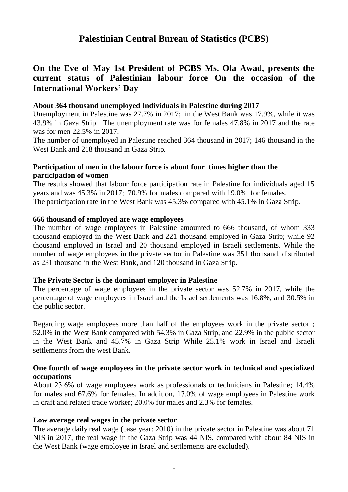# **Palestinian Central Bureau of Statistics (PCBS)**

## **On the Eve of May 1st President of PCBS Ms. Ola Awad, presents the current status of Palestinian labour force On the occasion of the International Workers' Day**

#### **About 364 thousand unemployed Individuals in Palestine during 2017**

Unemployment in Palestine was 27.7% in 2017; in the West Bank was 17.9%, while it was 43.9% in Gaza Strip. The unemployment rate was for females 47.8% in 2017 and the rate was for men 22.5% in 2017.

The number of unemployed in Palestine reached 364 thousand in 2017; 146 thousand in the West Bank and 218 thousand in Gaza Strip.

## **Participation of men in the labour force is about four times higher than the participation of women**

The results showed that labour force participation rate in Palestine for individuals aged 15 years and was 45.3% in 2017; 70.9% for males compared with 19.0% for females. The participation rate in the West Bank was 45.3% compared with 45.1% in Gaza Strip.

#### **666 thousand of employed are wage employees**

The number of wage employees in Palestine amounted to 666 thousand, of whom 333 thousand employed in the West Bank and 221 thousand employed in Gaza Strip; while 92 thousand employed in Israel and 20 thousand employed in Israeli settlements. While the number of wage employees in the private sector in Palestine was 351 thousand, distributed as 231 thousand in the West Bank, and 120 thousand in Gaza Strip.

#### **The Private Sector is the dominant employer in Palestine**

The percentage of wage employees in the private sector was 52.7% in 2017, while the percentage of wage employees in Israel and the Israel settlements was 16.8%, and 30.5% in the public sector.

Regarding wage employees more than half of the employees work in the private sector ; 52.0% in the West Bank compared with 54.3% in Gaza Strip, and 22.9% in the public sector in the West Bank and 45.7% in Gaza Strip While 25.1% work in Israel and Israeli settlements from the west Bank.

#### **One fourth of wage employees in the private sector work in technical and specialized occupations**

About 23.6% of wage employees work as professionals or technicians in Palestine; 14.4% for males and  $67.6\%$  for females. In addition,  $17.0\%$  of wage employees in Palestine work in craft and related trade worker; 20.0% for males and 2.3% for females.

#### **Low average real wages in the private sector**

The average daily real wage (base year: 2010) in the private sector in Palestine was about 71 NIS in 2017, the real wage in the Gaza Strip was 44 NIS, compared with about 84 NIS in the West Bank (wage employee in Israel and settlements are excluded).